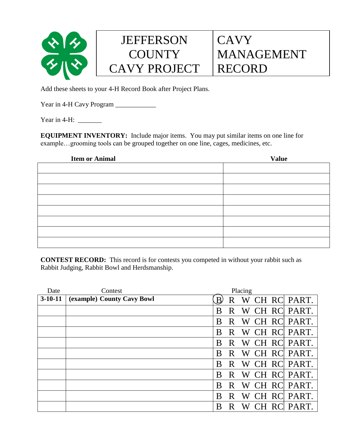

## **JEFFERSON COUNTY** CAVY PROJECT

## **CAVY** MANAGEMENT RECORD

Add these sheets to your 4-H Record Book after Project Plans.

Year in 4-H Cavy Program \_\_\_\_\_\_\_\_\_\_\_\_\_\_

Year in  $4-H$ :

**EQUIPMENT INVENTORY:** Include major items. You may put similar items on one line for example…grooming tools can be grouped together on one line, cages, medicines, etc.

| <b>Item or Animal</b> | <b>Value</b> |
|-----------------------|--------------|
|                       |              |
|                       |              |
|                       |              |
|                       |              |
|                       |              |
|                       |              |
|                       |              |
|                       |              |

**CONTEST RECORD:** This record is for contests you competed in without your rabbit such as Rabbit Judging, Rabbit Bowl and Herdsmanship.

| Date      | Contest                    | Placing                    |
|-----------|----------------------------|----------------------------|
| $3-10-11$ | (example) County Cavy Bowl | W CH RC PART.<br>B<br>R    |
|           |                            | W CH RC PART.<br>R<br>B    |
|           |                            | W CH RC<br>PART.<br>R<br>B |
|           |                            | W CH RC PART.<br>B<br>R    |
|           |                            | W CH RC PART.<br>B<br>R    |
|           |                            | W CH RC PART.<br>R<br>B    |
|           |                            | CH RC PART.<br>R<br>W<br>B |
|           |                            | W CH RC PART.<br>R<br>B    |
|           |                            | CH RC PART.<br>W<br>B<br>R |
|           |                            | CH RC PART.<br>R<br>W<br>B |
|           |                            | CH RC PART.<br>B<br>W<br>R |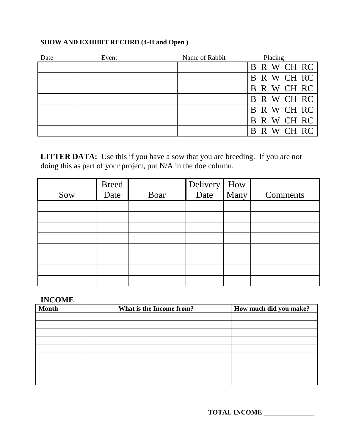## **SHOW AND EXHIBIT RECORD (4-H and Open )**

| Date | Event | Name of Rabbit | Placing        |
|------|-------|----------------|----------------|
|      |       |                | B R W CH RC    |
|      |       |                | B R W CH RC    |
|      |       |                | B R W CH RC    |
|      |       |                | B R W CH RC    |
|      |       |                | B R W CH RC    |
|      |       |                | B R W CH RC    |
|      |       |                | R W CH RC<br>B |

**LITTER DATA:** Use this if you have a sow that you are breeding. If you are not doing this as part of your project, put N/A in the doe column.

|     | Breed<br>Date |      | Delivery How<br>Date Many |          |
|-----|---------------|------|---------------------------|----------|
| Sow |               | Boar |                           | Comments |
|     |               |      |                           |          |
|     |               |      |                           |          |
|     |               |      |                           |          |
|     |               |      |                           |          |
|     |               |      |                           |          |
|     |               |      |                           |          |
|     |               |      |                           |          |
|     |               |      |                           |          |

## **INCOME**

| <b>Month</b> | What is the Income from? | How much did you make? |
|--------------|--------------------------|------------------------|
|              |                          |                        |
|              |                          |                        |
|              |                          |                        |
|              |                          |                        |
|              |                          |                        |
|              |                          |                        |
|              |                          |                        |
|              |                          |                        |
|              |                          |                        |